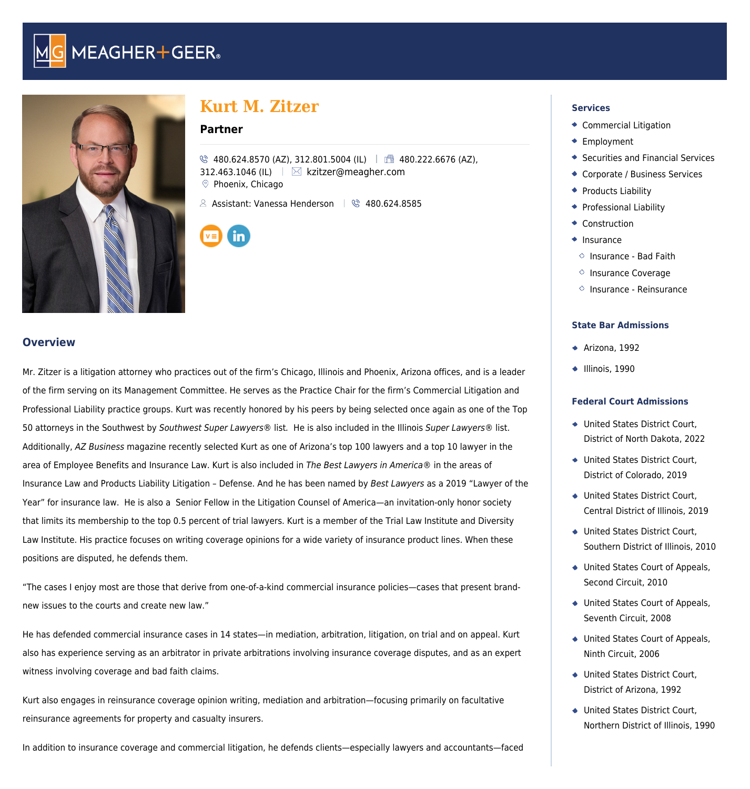



# **Kurt M. Zitzer**

# **Partner**

```
\% 480.624.8570 (AZ), 312.801.5004 (IL) 480.222.6676 (AZ),
312.463.1046 (IL) Kkzitzer@meagher.com
Phoenix, Chicago
```
 $\&$  Assistant: Vanessa Henderson  $\&$  480.624.8585

#### **Overview**

Mr. Zitzer is a litigation attorney who practices out of the firm's Chicago, Illinois and Phoenix, Arizona offices, and is a leader of the firm serving on its Management Committee. He serves as the Practice Chair for the firm's Commercial Litigation and Professional Liability practice groups. Kurt was recently honored by his peers by being selected once again as one of the Top 50 attorneys in the Southwest by Southwest Super Lawyers® list. He is also included in the Illinois Super Lawyers® list. Additionally, AZ Business magazine recently selected Kurt as one of Arizona's top 100 lawyers and a top 10 lawyer in the area of Employee Benefits and Insurance Law. Kurt is also included in The Best Lawyers in America® in the areas of Insurance Law and Products Liability Litigation – Defense. And he has been named by Best Lawyers as a 2019 "Lawyer of the Year" for insurance law. He is also a Senior Fellow in the Litigation Counsel of America—an invitation-only honor society that limits its membership to the top 0.5 percent of trial lawyers. Kurt is a member of the Trial Law Institute and Diversity Law Institute. His practice focuses on writing coverage opinions for a wide variety of insurance product lines. When these positions are disputed, he defends them.

"The cases I enjoy most are those that derive from one-of-a-kind commercial insurance policies—cases that present brandnew issues to the courts and create new law."

He has defended commercial insurance cases in 14 states—in mediation, arbitration, litigation, on trial and on appeal. Kurt also has experience serving as an arbitrator in private arbitrations involving insurance coverage disputes, and as an expert witness involving coverage and bad faith claims.

Kurt also engages in reinsurance coverage opinion writing, mediation and arbitration—focusing primarily on facultative reinsurance agreements for property and casualty insurers.

In addition to insurance coverage and commercial litigation, he defends clients—especially lawyers and accountants—faced

#### **Services**

- [Commercial Litigation](https://www.meagher.com/service/commercial-litigation/)
- **[Employment](https://www.meagher.com/service/employment/)**
- [Securities and Financial Services](https://www.meagher.com/service/securities-and-financial-services/)
- [Corporate / Business Services](https://www.meagher.com/service/corporate-business-services/)
- **[Products Liability](https://www.meagher.com/service/products-liability/)**
- **[Professional Liability](https://www.meagher.com/service/professional-liability/)**
- ◆ [Construction](https://www.meagher.com/service/construction/)
- $\bullet$  [Insurance](https://www.meagher.com/service/insurance/)
	- $\circ$  [Insurance Bad Faith](https://www.meagher.com/service/insurance/insurance-bad-faith/)
- $\diamond$  [Insurance Coverage](https://www.meagher.com/service/insurance/insurance-coverage/)
- $\circ$  [Insurance Reinsurance](https://www.meagher.com/service/insurance/insurance-reinsurance/)

#### **State Bar Admissions**

- $\triangleleft$  Arizona, 1992
- $\bullet$  Illinois, 1990

#### **Federal Court Admissions**

- United States District Court, District of North Dakota, 2022
- United States District Court, District of Colorado, 2019
- United States District Court, Central District of Illinois, 2019
- United States District Court, Southern District of Illinois, 2010
- United States Court of Appeals, Second Circuit, 2010
- United States Court of Appeals, Seventh Circuit, 2008
- United States Court of Appeals, Ninth Circuit, 2006
- United States District Court, District of Arizona, 1992
- United States District Court, Northern District of Illinois, 1990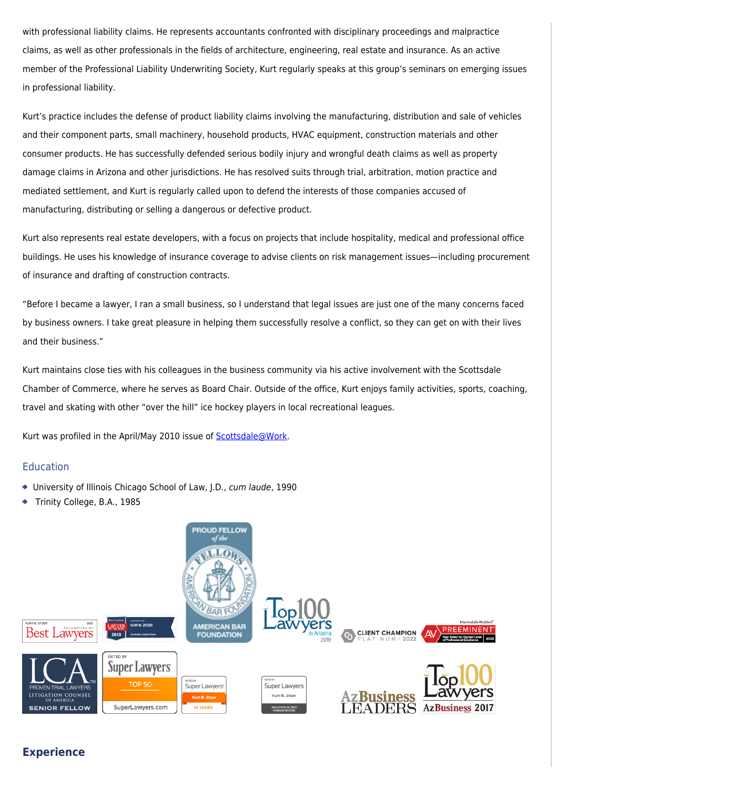with professional liability claims. He represents accountants confronted with disciplinary proceedings and malpractice claims, as well as other professionals in the fields of architecture, engineering, real estate and insurance. As an active member of the Professional Liability Underwriting Society, Kurt regularly speaks at this group's seminars on emerging issues in professional liability.

Kurt's practice includes the defense of product liability claims involving the manufacturing, distribution and sale of vehicles and their component parts, small machinery, household products, HVAC equipment, construction materials and other consumer products. He has successfully defended serious bodily injury and wrongful death claims as well as property damage claims in Arizona and other jurisdictions. He has resolved suits through trial, arbitration, motion practice and mediated settlement, and Kurt is regularly called upon to defend the interests of those companies accused of manufacturing, distributing or selling a dangerous or defective product.

Kurt also represents real estate developers, with a focus on projects that include hospitality, medical and professional office buildings. He uses his knowledge of insurance coverage to advise clients on risk management issues—including procurement of insurance and drafting of construction contracts.

"Before I became a lawyer, I ran a small business, so I understand that legal issues are just one of the many concerns faced by business owners. I take great pleasure in helping them successfully resolve a conflict, so they can get on with their lives and their business."

Kurt maintains close ties with his colleagues in the business community via his active involvement with the Scottsdale Chamber of Commerce, where he serves as Board Chair. Outside of the office, Kurt enjoys family activities, sports, coaching, travel and skating with other "over the hill" ice hockey players in local recreational leagues.

Kurt was profiled in the April/May 2010 issue of **Scottsdale@Work**.

#### Education

- University of Illinois Chicago School of Law, J.D., cum laude, 1990
- Trinity College, B.A., 1985



# **Experience**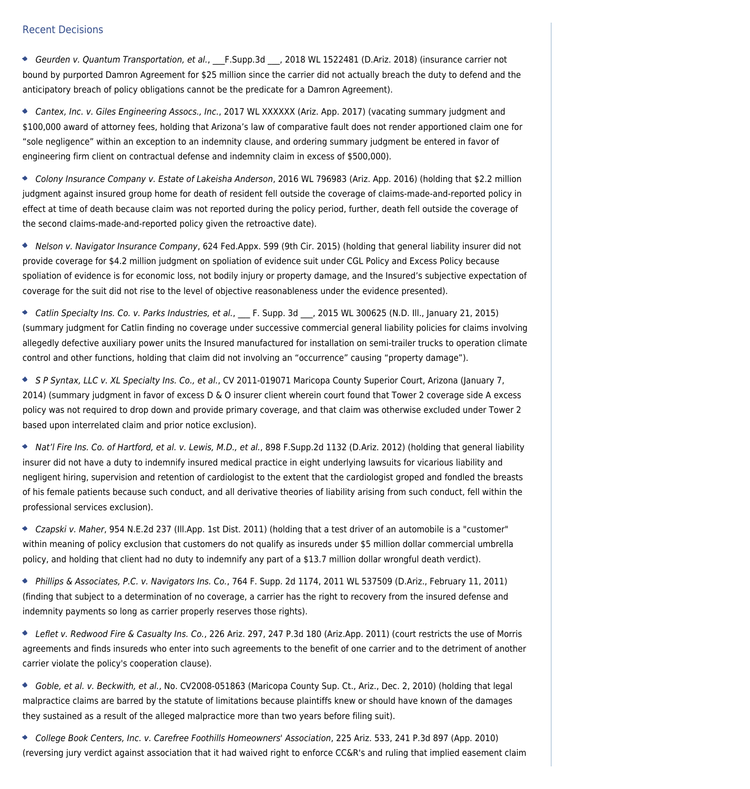#### Recent Decisions

Geurden v. Quantum Transportation, et al., F.Supp.3d . 2018 WL 1522481 (D.Ariz. 2018) (insurance carrier not bound by purported Damron Agreement for \$25 million since the carrier did not actually breach the duty to defend and the anticipatory breach of policy obligations cannot be the predicate for a Damron Agreement).

Cantex, Inc. v. Giles Engineering Assocs., Inc., 2017 WL XXXXXX (Ariz. App. 2017) (vacating summary judgment and \$100,000 award of attorney fees, holding that Arizona's law of comparative fault does not render apportioned claim one for "sole negligence" within an exception to an indemnity clause, and ordering summary judgment be entered in favor of engineering firm client on contractual defense and indemnity claim in excess of \$500,000).

Colony Insurance Company v. Estate of Lakeisha Anderson, 2016 WL 796983 (Ariz. App. 2016) (holding that \$2.2 million judgment against insured group home for death of resident fell outside the coverage of claims-made-and-reported policy in effect at time of death because claim was not reported during the policy period, further, death fell outside the coverage of the second claims-made-and-reported policy given the retroactive date).

Nelson v. Navigator Insurance Company, 624 Fed.Appx. 599 (9th Cir. 2015) (holding that general liability insurer did not provide coverage for \$4.2 million judgment on spoliation of evidence suit under CGL Policy and Excess Policy because spoliation of evidence is for economic loss, not bodily injury or property damage, and the Insured's subjective expectation of coverage for the suit did not rise to the level of objective reasonableness under the evidence presented).

Catlin Specialty Ins. Co. v. Parks Industries, et al., F. Supp. 3d \_\_, 2015 WL 300625 (N.D. Ill., January 21, 2015) (summary judgment for Catlin finding no coverage under successive commercial general liability policies for claims involving allegedly defective auxiliary power units the Insured manufactured for installation on semi-trailer trucks to operation climate control and other functions, holding that claim did not involving an "occurrence" causing "property damage").

S P Syntax, LLC v. XL Specialty Ins. Co., et al., CV 2011-019071 Maricopa County Superior Court, Arizona (January 7, 2014) (summary judgment in favor of excess D & O insurer client wherein court found that Tower 2 coverage side A excess policy was not required to drop down and provide primary coverage, and that claim was otherwise excluded under Tower 2 based upon interrelated claim and prior notice exclusion).

◆ Nat'l Fire Ins. Co. of Hartford, et al. v. Lewis, M.D., et al., 898 F.Supp.2d 1132 (D.Ariz. 2012) (holding that general liability insurer did not have a duty to indemnify insured medical practice in eight underlying lawsuits for vicarious liability and negligent hiring, supervision and retention of cardiologist to the extent that the cardiologist groped and fondled the breasts of his female patients because such conduct, and all derivative theories of liability arising from such conduct, fell within the professional services exclusion).

Czapski v. Maher, 954 N.E.2d 237 (Ill.App. 1st Dist. 2011) (holding that a test driver of an automobile is a "customer" within meaning of policy exclusion that customers do not qualify as insureds under \$5 million dollar commercial umbrella policy, and holding that client had no duty to indemnify any part of a \$13.7 million dollar wrongful death verdict).

Phillips & Associates, P.C. v. Navigators Ins. Co., 764 F. Supp. 2d 1174, 2011 WL 537509 (D.Ariz., February 11, 2011) (finding that subject to a determination of no coverage, a carrier has the right to recovery from the insured defense and indemnity payments so long as carrier properly reserves those rights).

◆ Leflet v. Redwood Fire & Casualty Ins. Co., 226 Ariz. 297, 247 P.3d 180 (Ariz.App. 2011) (court restricts the use of Morris agreements and finds insureds who enter into such agreements to the benefit of one carrier and to the detriment of another carrier violate the policy's cooperation clause).

Goble, et al. v. Beckwith, et al., No. CV2008-051863 (Maricopa County Sup. Ct., Ariz., Dec. 2, 2010) (holding that legal malpractice claims are barred by the statute of limitations because plaintiffs knew or should have known of the damages they sustained as a result of the alleged malpractice more than two years before filing suit).

College Book Centers, Inc. v. Carefree Foothills Homeowners' Association, 225 Ariz. 533, 241 P.3d 897 (App. 2010) (reversing jury verdict against association that it had waived right to enforce CC&R's and ruling that implied easement claim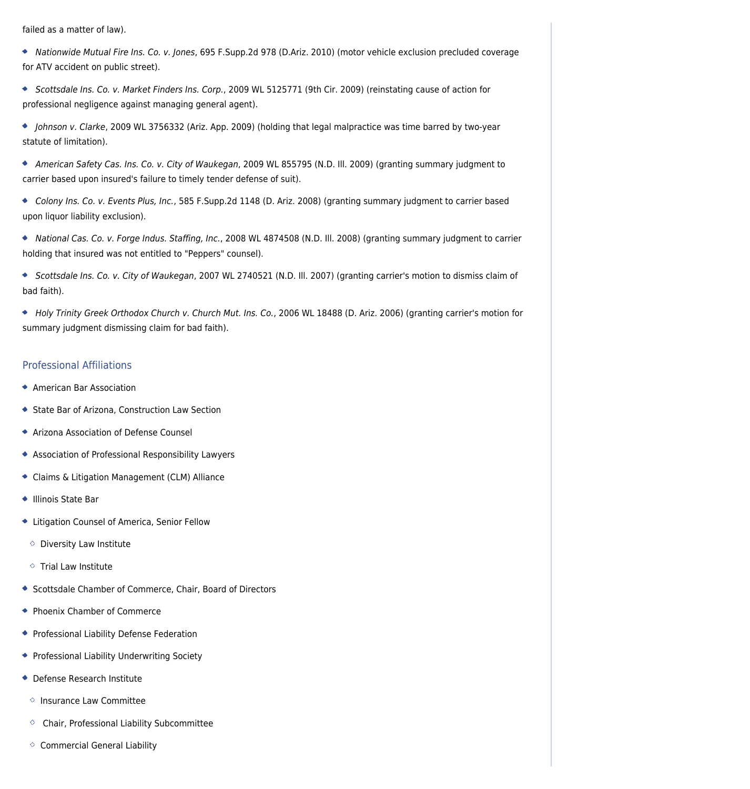failed as a matter of law).

Nationwide Mutual Fire Ins. Co. v. Jones, 695 F.Supp.2d 978 (D.Ariz. 2010) (motor vehicle exclusion precluded coverage for ATV accident on public street).

Scottsdale Ins. Co. v. Market Finders Ins. Corp., 2009 WL 5125771 (9th Cir. 2009) (reinstating cause of action for professional negligence against managing general agent).

Johnson v. Clarke, 2009 WL 3756332 (Ariz. App. 2009) (holding that legal malpractice was time barred by two-year statute of limitation).

American Safety Cas. Ins. Co. v. City of Waukegan, 2009 WL 855795 (N.D. Ill. 2009) (granting summary judgment to carrier based upon insured's failure to timely tender defense of suit).

Colony Ins. Co. v. Events Plus, Inc., 585 F.Supp.2d 1148 (D. Ariz. 2008) (granting summary judgment to carrier based upon liquor liability exclusion).

National Cas. Co. v. Forge Indus. Staffing, Inc., 2008 WL 4874508 (N.D. Ill. 2008) (granting summary judgment to carrier holding that insured was not entitled to "Peppers" counsel).

◆ Scottsdale Ins. Co. v. City of Waukegan, 2007 WL 2740521 (N.D. III. 2007) (granting carrier's motion to dismiss claim of bad faith).

Holy Trinity Greek Orthodox Church v. Church Mut. Ins. Co., 2006 WL 18488 (D. Ariz. 2006) (granting carrier's motion for summary judgment dismissing claim for bad faith).

# Professional Affiliations

- American Bar Association
- State Bar of Arizona, Construction Law Section
- Arizona Association of Defense Counsel
- Association of Professional Responsibility Lawyers
- Claims & Litigation Management (CLM) Alliance
- Illinois State Bar
- Litigation Counsel of America, Senior Fellow
- $\circ$  Diversity Law Institute
- $\circ$  Trial Law Institute
- Scottsdale Chamber of Commerce, Chair, Board of Directors
- Phoenix Chamber of Commerce
- Professional Liability Defense Federation
- **Professional Liability Underwriting Society**
- Defense Research Institute
- $\circ$  Insurance Law Committee
- $\circ$  Chair, Professional Liability Subcommittee
- $\Diamond$  Commercial General Liability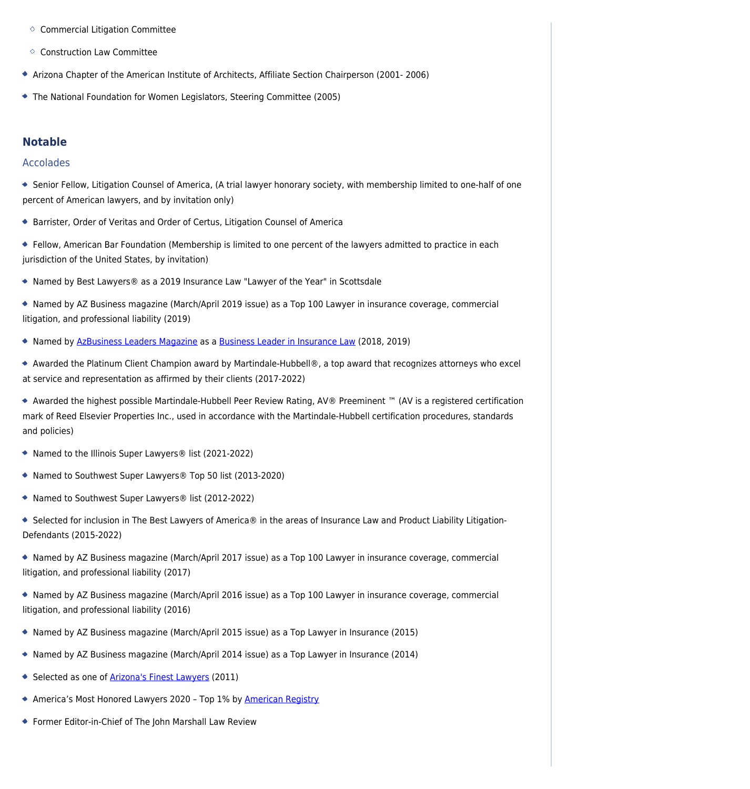- $\circ$  Commercial Litigation Committee
- $\circ$  Construction Law Committee
- Arizona Chapter of the American Institute of Architects, Affiliate Section Chairperson (2001- 2006)
- The National Foundation for Women Legislators, Steering Committee (2005)

## **Notable**

## Accolades

- Senior Fellow, Litigation Counsel of America, (A trial lawyer honorary society, with membership limited to one-half of one percent of American lawyers, and by invitation only)
- Barrister, Order of Veritas and Order of Certus, Litigation Counsel of America
- Fellow, American Bar Foundation (Membership is limited to one percent of the lawyers admitted to practice in each jurisdiction of the United States, by invitation)
- Named by Best Lawyers® as a 2019 Insurance Law "Lawyer of the Year" in Scottsdale
- Named by AZ Business magazine (March/April 2019 issue) as a Top 100 Lawyer in insurance coverage, commercial litigation, and professional liability (2019)
- \* Named by [AzBusiness Leaders Magazine](https://azbigmedia.com/publications/azbusiness-leaders/) as a [Business Leader in Insurance Law](https://issuu.com/azbigmedia/docs/abl2019/116) (2018, 2019)
- Awarded the Platinum Client Champion award by Martindale-Hubbell®, a top award that recognizes attorneys who excel at service and representation as affirmed by their clients (2017-2022)
- Awarded the highest possible Martindale-Hubbell Peer Review Rating, AV® Preeminent ™ (AV is a registered certification mark of Reed Elsevier Properties Inc., used in accordance with the Martindale-Hubbell certification procedures, standards and policies)
- ◆ Named to the Illinois Super Lawyers® list (2021-2022)
- Named to Southwest Super Lawyers® Top 50 list (2013-2020)
- ◆ Named to Southwest Super Lawyers® list (2012-2022)
- ◆ Selected for inclusion in The Best Lawyers of America® in the areas of Insurance Law and Product Liability Litigation-Defendants (2015-2022)
- Named by AZ Business magazine (March/April 2017 issue) as a Top 100 Lawyer in insurance coverage, commercial litigation, and professional liability (2017)
- Named by AZ Business magazine (March/April 2016 issue) as a Top 100 Lawyer in insurance coverage, commercial litigation, and professional liability (2016)
- Named by AZ Business magazine (March/April 2015 issue) as a Top Lawyer in Insurance (2015)
- Named by AZ Business magazine (March/April 2014 issue) as a Top Lawyer in Insurance (2014)
- Selected as one of **[Arizona's Finest Lawyers](http://www.azfinestlawyers.org/about-us.html)** (2011)
- ◆ America's Most Honored Lawyers 2020 Top 1% by [American Registry](https://www.americanregistry.com/homehtml)
- Former Editor-in-Chief of The John Marshall Law Review